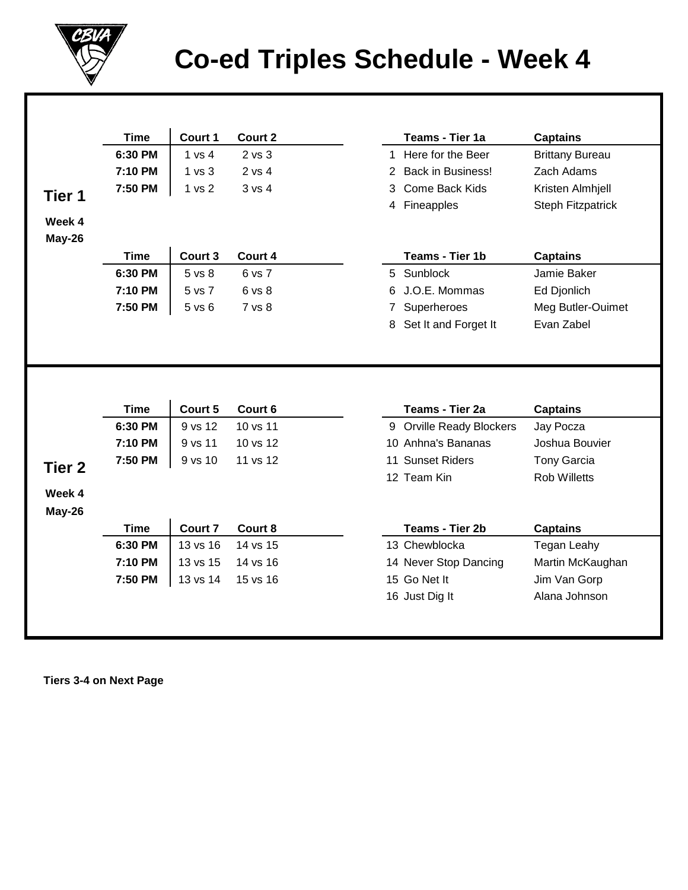

## **Co-ed Triples Schedule - Week 4**

|                   | <b>Time</b> | Court 1           | Court 2    |                | Teams - Tier 1a                | <b>Captains</b>               |
|-------------------|-------------|-------------------|------------|----------------|--------------------------------|-------------------------------|
|                   | 6:30 PM     | 1 vs 4            | $2$ vs $3$ |                | 1 Here for the Beer            | <b>Brittany Bureau</b>        |
|                   | 7:10 PM     | 1 <sub>vs</sub> 3 | 2 vs 4     | $\overline{2}$ | <b>Back in Business!</b>       | Zach Adams                    |
| Tier 1            | 7:50 PM     | 1 vs 2            | 3 vs 4     | 3              | Come Back Kids                 | Kristen Almhjell              |
|                   |             |                   |            |                | 4 Fineapples                   | Steph Fitzpatrick             |
| Week 4            |             |                   |            |                |                                |                               |
| May-26            |             |                   |            |                |                                |                               |
|                   | <b>Time</b> | Court 3           | Court 4    |                | Teams - Tier 1b                | <b>Captains</b>               |
|                   | 6:30 PM     | 5 vs 8            | 6 vs 7     |                | 5 Sunblock                     | Jamie Baker                   |
|                   | 7:10 PM     | 5 vs 7            | 6 vs 8     | 6              | J.O.E. Mommas                  | Ed Djonlich                   |
|                   | 7:50 PM     | 5 vs 6            | 7 vs 8     | 7              | Superheroes                    | Meg Butler-Ouimet             |
|                   |             |                   |            |                |                                |                               |
|                   |             |                   |            | 8              | Set It and Forget It           | Evan Zabel                    |
|                   |             |                   |            |                |                                |                               |
|                   | <b>Time</b> | Court 5           | Court 6    |                | Teams - Tier 2a                | <b>Captains</b>               |
|                   | 6:30 PM     | 9 vs 12           | 10 vs 11   |                | 9 Orville Ready Blockers       | Jay Pocza                     |
|                   | 7:10 PM     | 9 vs 11           | 10 vs 12   |                | 10 Anhna's Bananas             | Joshua Bouvier                |
|                   | 7:50 PM     | 9 vs 10           | 11 vs 12   |                | 11 Sunset Riders               | <b>Tony Garcia</b>            |
|                   |             |                   |            |                | 12 Team Kin                    | <b>Rob Willetts</b>           |
|                   |             |                   |            |                |                                |                               |
| Week 4<br>May-26  |             |                   |            |                |                                |                               |
|                   | <b>Time</b> | Court 7           | Court 8    |                | Teams - Tier 2b                | <b>Captains</b>               |
|                   | 6:30 PM     | 13 vs 16          | 14 vs 15   |                | 13 Chewblocka                  | <b>Tegan Leahy</b>            |
|                   | 7:10 PM     | 13 vs 15          | 14 vs 16   |                | 14 Never Stop Dancing          | Martin McKaughan              |
| Tier <sub>2</sub> | 7:50 PM     | 13 vs 14          | 15 vs 16   |                | 15 Go Net It<br>16 Just Dig It | Jim Van Gorp<br>Alana Johnson |

 **Tiers 3-4 on Next Page**